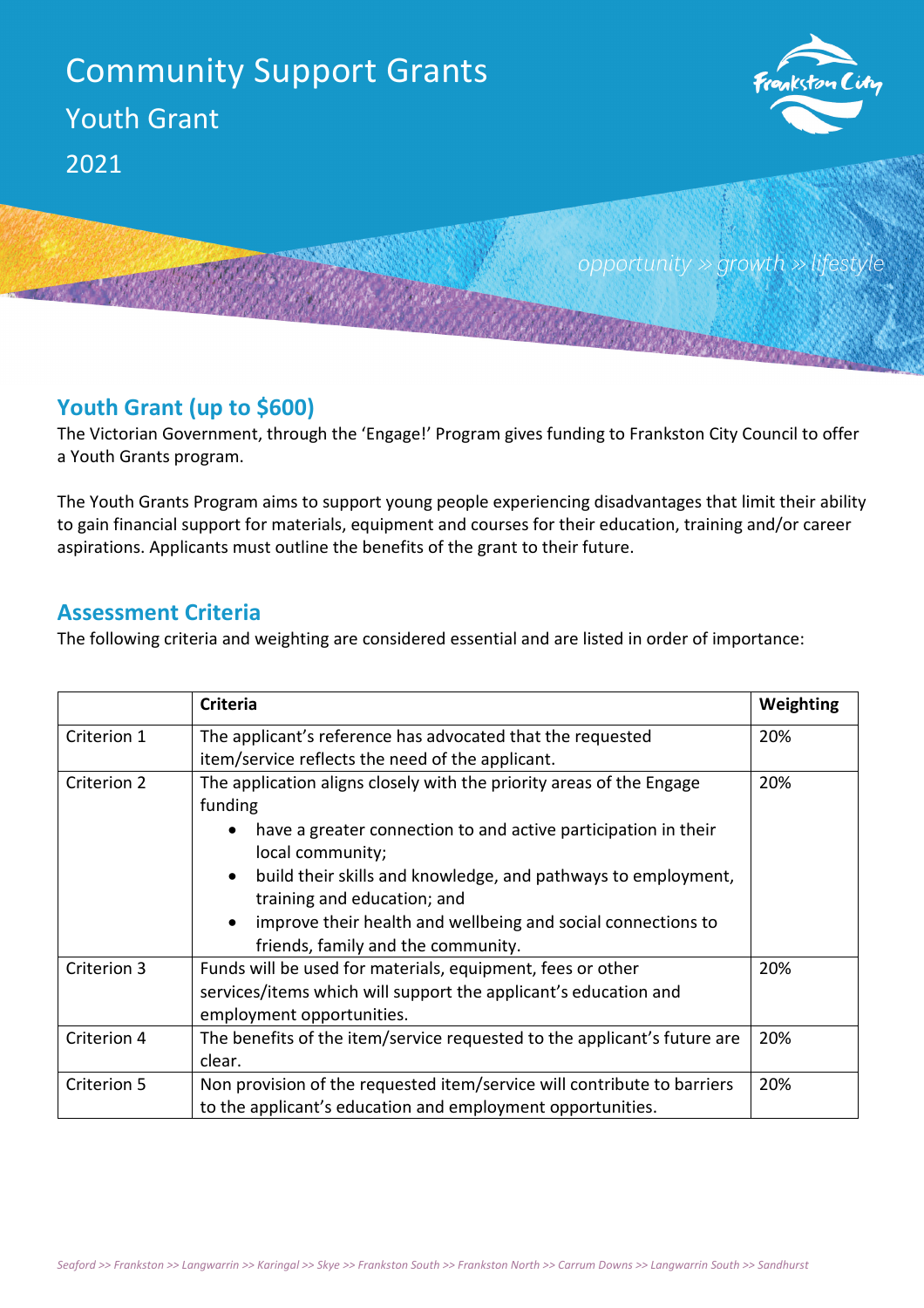

## **Youth Grant (up to \$600)**

The Victorian Government, through the 'Engage!' Program gives funding to Frankston City Council to offer a Youth Grants program.

The Youth Grants Program aims to support young people experiencing disadvantages that limit their ability to gain financial support for materials, equipment and courses for their education, training and/or career aspirations. Applicants must outline the benefits of the grant to their future.

## **Assessment Criteria**

The following criteria and weighting are considered essential and are listed in order of importance:

|             | <b>Criteria</b>                                                            | Weighting |
|-------------|----------------------------------------------------------------------------|-----------|
| Criterion 1 | The applicant's reference has advocated that the requested                 | 20%       |
|             | item/service reflects the need of the applicant.                           |           |
| Criterion 2 | The application aligns closely with the priority areas of the Engage       | 20%       |
|             | funding                                                                    |           |
|             | have a greater connection to and active participation in their             |           |
|             | local community;                                                           |           |
|             | build their skills and knowledge, and pathways to employment,<br>$\bullet$ |           |
|             | training and education; and                                                |           |
|             | improve their health and wellbeing and social connections to<br>$\bullet$  |           |
|             | friends, family and the community.                                         |           |
| Criterion 3 | Funds will be used for materials, equipment, fees or other                 | 20%       |
|             | services/items which will support the applicant's education and            |           |
|             | employment opportunities.                                                  |           |
| Criterion 4 | The benefits of the item/service requested to the applicant's future are   | 20%       |
|             | clear.                                                                     |           |
| Criterion 5 | Non provision of the requested item/service will contribute to barriers    | 20%       |
|             | to the applicant's education and employment opportunities.                 |           |